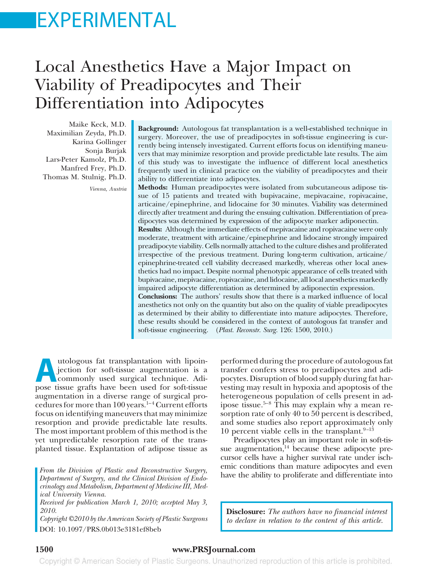# EXPERIMENTAL

# Local Anesthetics Have a Major Impact on Viability of Preadipocytes and Their Differentiation into Adipocytes

Maike Keck, M.D. Maximilian Zeyda, Ph.D. Karina Gollinger Sonja Burjak Lars-Peter Kamolz, Ph.D. Manfred Frey, Ph.D. Thomas M. Stulnig, Ph.D.

*Vienna, Austria*

**Background:** Autologous fat transplantation is a well-established technique in surgery. Moreover, the use of preadipocytes in soft-tissue engineering is currently being intensely investigated. Current efforts focus on identifying maneuvers that may minimize resorption and provide predictable late results. The aim of this study was to investigate the influence of different local anesthetics frequently used in clinical practice on the viability of preadipocytes and their ability to differentiate into adipocytes.

**Methods:** Human preadipocytes were isolated from subcutaneous adipose tissue of 15 patients and treated with bupivacaine, mepivacaine, ropivacaine, articaine/epinephrine, and lidocaine for 30 minutes. Viability was determined directly after treatment and during the ensuing cultivation. Differentiation of preadipocytes was determined by expression of the adipocyte marker adiponectin. **Results:** Although the immediate effects of mepivacaine and ropivacaine were only moderate, treatment with articaine/epinephrine and lidocaine strongly impaired preadipocyte viability. Cells normally attached to the culture dishes and proliferated irrespective of the previous treatment. During long-term cultivation, articaine/ epinephrine-treated cell viability decreased markedly, whereas other local anesthetics had no impact. Despite normal phenotypic appearance of cells treated with bupivacaine, mepivacaine, ropivacaine, and lidocaine, all local anesthetics markedly impaired adipocyte differentiation as determined by adiponectin expression. **Conclusions:** The authors' results show that there is a marked influence of local anesthetics not only on the quantity but also on the quality of viable preadipocytes as determined by their ability to differentiate into mature adipocytes. Therefore, these results should be considered in the context of autologous fat transfer and soft-tissue engineering. (*Plast. Reconstr. Surg.* 126: 1500, 2010.)

Autologous fat transplantation with lipoin-<br>jection for soft-tissue augmentation is a<br>commonly used surgical technique. Adi-<br>pose tissue grafts have been used for soft-tissue jection for soft-tissue augmentation is a commonly used surgical technique. Adipose tissue grafts have been used for soft-tissue augmentation in a diverse range of surgical procedures for more than  $100$  years.<sup>1-4</sup> Current efforts focus on identifying maneuvers that may minimize resorption and provide predictable late results. The most important problem of this method is the yet unpredictable resorption rate of the transplanted tissue. Explantation of adipose tissue as

*Department of Surgery, and the Clinical Division of Endocrinology and Metabolism, Department of Medicine III, Medical University Vienna.*

*Received for publication March 1, 2010; accepted May 3, 2010.*

*Copyright ©2010 by the American Society of Plastic Surgeons* DOI: 10.1097/PRS.0b013e3181ef8beb

performed during the procedure of autologous fat transfer confers stress to preadipocytes and adipocytes. Disruption of blood supply during fat harvesting may result in hypoxia and apoptosis of the heterogeneous population of cells present in adipose tissue.<sup>5–8</sup> This may explain why a mean resorption rate of only 40 to 50 percent is described, and some studies also report approximately only 10 percent viable cells in the transplant. $9-13$ 

Preadipocytes play an important role in soft-tissue augmentation, $14$  because these adipocyte precursor cells have a higher survival rate under ischemic conditions than mature adipocytes and even From the Division of Plastic and Reconstructive Surgery,<br>Department of Surgery, and the Clinical Division of Frodo

> **Disclosure:** *The authors have no financial interest to declare in relation to the content of this article.*

#### **1500 www.PRSJournal.com**

Copyright © American Society of Plastic Surgeons. Unauthorized reproduction of this article is prohibited.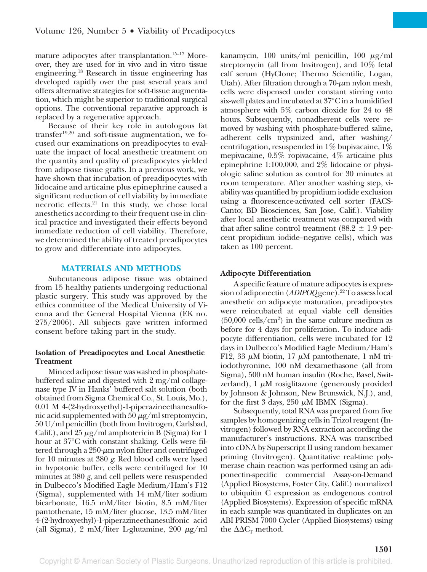mature adipocytes after transplantation.15–17 Moreover, they are used for in vivo and in vitro tissue engineering.18 Research in tissue engineering has developed rapidly over the past several years and offers alternative strategies for soft-tissue augmentation, which might be superior to traditional surgical options. The conventional reparative approach is replaced by a regenerative approach.

Because of their key role in autologous fat transfer19,20 and soft-tissue augmentation, we focused our examinations on preadipocytes to evaluate the impact of local anesthetic treatment on the quantity and quality of preadipocytes yielded from adipose tissue grafts. In a previous work, we have shown that incubation of preadipocytes with lidocaine and articaine plus epinephrine caused a significant reduction of cell viability by immediate necrotic effects.21 In this study, we chose local anesthetics according to their frequent use in clinical practice and investigated their effects beyond immediate reduction of cell viability. Therefore, we determined the ability of treated preadipocytes to grow and differentiate into adipocytes.

### **MATERIALS AND METHODS**

Subcutaneous adipose tissue was obtained from 15 healthy patients undergoing reductional plastic surgery. This study was approved by the ethics committee of the Medical University of Vienna and the General Hospital Vienna (EK no. 275/2006). All subjects gave written informed consent before taking part in the study.

### **Isolation of Preadipocytes and Local Anesthetic Treatment**

Minced adipose tissue was washed in phosphatebuffered saline and digested with 2 mg/ml collagenase type IV in Hanks' buffered salt solution (both obtained from Sigma Chemical Co., St. Louis, Mo.), 0.01 M 4-(2-hydroxyethyl)-1-piperazineethanesulfonic acid supplemented with  $50 \mu g/ml$  streptomycin, 50 U/ml penicillin (both from Invitrogen, Carlsbad, Calif.), and  $25 \mu g/ml$  amphotericin B (Sigma) for 1 hour at 37°C with constant shaking. Cells were filtered through a  $250$ - $\mu$ m nylon filter and centrifuged for 10 minutes at 380 *g*. Red blood cells were lysed in hypotonic buffer, cells were centrifuged for 10 minutes at 380 *g*, and cell pellets were resuspended in Dulbecco's Modified Eagle Medium/Ham's F12 (Sigma), supplemented with 14 mM/liter sodium bicarbonate, 16.5 mM/liter biotin, 8.5 mM/liter pantothenate, 15 mM/liter glucose, 13.5 mM/liter 4-(2-hydroxyethyl)-1-piperazineethanesulfonic acid (all Sigma), 2 mM/liter L-glutamine, 200  $\mu$ g/ml

kanamycin, 100 units/ml penicillin, 100  $\mu$ g/ml streptomycin (all from Invitrogen), and 10% fetal calf serum (HyClone; Thermo Scientific, Logan, Utah). After filtration through a  $70$ - $\mu$ m nylon mesh, cells were dispensed under constant stirring onto six-well plates and incubated at 37°C in a humidified atmosphere with 5% carbon dioxide for 24 to 48 hours. Subsequently, nonadherent cells were removed by washing with phosphate-buffered saline, adherent cells trypsinized and, after washing/ centrifugation, resuspended in  $1\%$  bupivacaine,  $1\%$ mepivacaine, 0.5% ropivacaine, 4% articaine plus epinephrine 1:100,000, and 2% lidocaine or physiologic saline solution as control for 30 minutes at room temperature. After another washing step, viability was quantified by propidium iodide exclusion using a fluorescence-activated cell sorter (FACS-Canto; BD Biosciences, San Jose, Calif.). Viability after local anesthetic treatment was compared with that after saline control treatment  $(88.2 \pm 1.9 \text{ per-}$ cent propidium iodide–negative cells), which was taken as 100 percent.

#### **Adipocyte Differentiation**

A specific feature of mature adipocytes is expression of adiponectin (*ADIPOQ* gene).22To assess local anesthetic on adipocyte maturation, preadipocytes were reincubated at equal viable cell densities  $(50,000 \text{ cells/cm}^2)$  in the same culture medium as before for 4 days for proliferation. To induce adipocyte differentiation, cells were incubated for 12 days in Dulbecco's Modified Eagle Medium/Ham's F12, 33  $\mu$ M biotin, 17  $\mu$ M pantothenate, 1 nM triiodothyronine, 100 nM dexamethasone (all from Sigma), 500 nM human insulin (Roche, Basel, Switzerland),  $1 \mu M$  rosiglitazone (generously provided by Johnson & Johnson, New Brunswick, N.J.), and, for the first 3 days,  $250 \mu M$  IBMX (Sigma).

Subsequently, total RNA was prepared from five samples by homogenizing cells in Trizol reagent (Invitrogen) followed by RNA extraction according the manufacturer's instructions. RNA was transcribed into cDNA by Superscript II using random hexamer priming (Invitrogen). Quantitative real-time polymerase chain reaction was performed using an adiponectin-specific commercial Assay-on-Demand (Applied Biosystems, Foster City, Calif.) normalized to ubiquitin C expression as endogenous control (Applied Biosystems). Expression of specific mRNA in each sample was quantitated in duplicates on an ABI PRISM 7000 Cycler (Applied Biosystems) using the  $\Delta \Delta C_T$  method.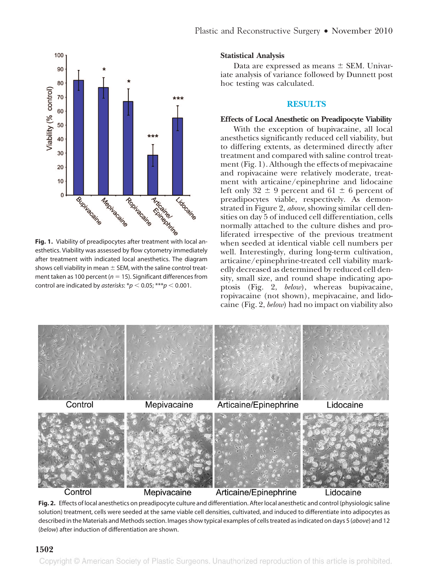

esthetics. Viability was assessed by flow cytometry immediately after treatment with indicated local anesthetics. The diagram shows cell viability in mean  $\pm$  SEM, with the saline control treatment taken as 100 percent ( $n = 15$ ). Significant differences from control are indicated by *asterisks*:  $*p < 0.05$ ;  $***p < 0.001$ .

### **Statistical Analysis**

Data are expressed as means  $\pm$  SEM. Univariate analysis of variance followed by Dunnett post hoc testing was calculated.

### **RESULTS**

#### **Effects of Local Anesthetic on Preadipocyte Viability**

With the exception of bupivacaine, all local anesthetics significantly reduced cell viability, but to differing extents, as determined directly after treatment and compared with saline control treatment (Fig. 1). Although the effects of mepivacaine and ropivacaine were relatively moderate, treatment with articaine/epinephrine and lidocaine left only  $32 \pm 9$  percent and  $61 \pm 6$  percent of preadipocytes viable, respectively. As demonstrated in Figure 2, *above*, showing similar cell densities on day 5 of induced cell differentiation, cells normally attached to the culture dishes and proliferated irrespective of the previous treatment when seeded at identical viable cell numbers per well. Interestingly, during long-term cultivation, articaine/epinephrine-treated cell viability markedly decreased as determined by reduced cell density, small size, and round shape indicating apoptosis (Fig. 2, *below*), whereas bupivacaine, ropivacaine (not shown), mepivacaine, and lidocaine (Fig. 2, *below*) had no impact on viability also



**Fig. 2.** Effects of local anesthetics on preadipocyte culture and differentiation. After local anesthetic and control (physiologic saline solution) treatment, cells were seeded at the same viable cell densities, cultivated, and induced to differentiate into adipocytes as described in the Materials and Methods section. Images show typical examples of cells treated as indicated on days 5 (*above*) and 12 (*below*) after induction of differentiation are shown.

## **1502**

Copyright © American Society of Plastic Surgeons. Unauthorized reproduction of this article is prohibited.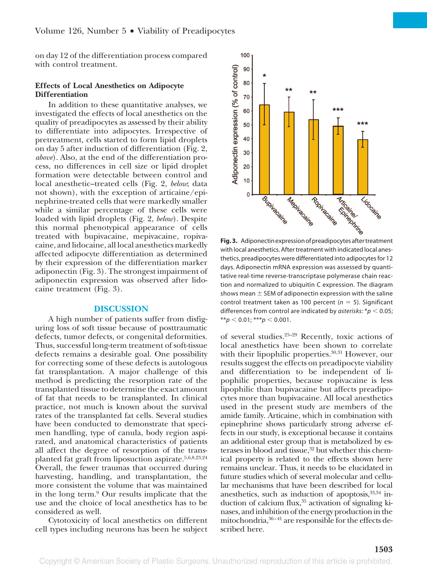on day 12 of the differentiation process compared with control treatment.

#### **Effects of Local Anesthetics on Adipocyte Differentiation**

In addition to these quantitative analyses, we investigated the effects of local anesthetics on the quality of preadipocytes as assessed by their ability to differentiate into adipocytes. Irrespective of pretreatment, cells started to form lipid droplets on day 5 after induction of differentiation (Fig. 2, *above*). Also, at the end of the differentiation process, no differences in cell size or lipid droplet formation were detectable between control and local anesthetic–treated cells (Fig. 2, *below*; data not shown), with the exception of articaine/epinephrine-treated cells that were markedly smaller while a similar percentage of these cells were loaded with lipid droplets (Fig. 2, *below*). Despite this normal phenotypical appearance of cells treated with bupivacaine, mepivacaine, ropivacaine, and lidocaine, all local anesthetics markedly affected adipocyte differentiation as determined by their expression of the differentiation marker adiponectin (Fig. 3). The strongest impairment of adiponectin expression was observed after lidocaine treatment (Fig. 3).

#### **DISCUSSION**

A high number of patients suffer from disfiguring loss of soft tissue because of posttraumatic defects, tumor defects, or congenital deformities. Thus, successful long-term treatment of soft-tissue defects remains a desirable goal. One possibility for correcting some of these defects is autologous fat transplantation. A major challenge of this method is predicting the resorption rate of the transplanted tissue to determine the exact amount of fat that needs to be transplanted. In clinical practice, not much is known about the survival rates of the transplanted fat cells. Several studies have been conducted to demonstrate that specimen handling, type of canula, body region aspirated, and anatomical characteristics of patients all affect the degree of resorption of the transplanted fat graft from liposuction aspirate.<sup>5,6,8,23,24</sup> Overall, the fewer traumas that occurred during harvesting, handling, and transplantation, the more consistent the volume that was maintained in the long term.9 Our results implicate that the use and the choice of local anesthetics has to be considered as well.

Cytotoxicity of local anesthetics on different cell types including neurons has been he subject



with local anesthetics. After treatment with indicated local anesthetics, preadipocytes were differentiated into adipocytes for 12 days. Adiponectin mRNA expression was assessed by quantitative real-time reverse-transcriptase polymerase chain reaction and normalized to ubiquitin C expression. The diagram shows mean  $\pm$  SEM of adiponectin expression with the saline control treatment taken as 100 percent ( $n = 5$ ). Significant differences from control are indicated by *asterisks*:  $* p < 0.05$ ;  $* p < 0.01; ** p < 0.001.$ 

of several studies.25–29 Recently, toxic actions of local anesthetics have been shown to correlate with their lipophilic properties.<sup>30,31</sup> However, our results suggest the effects on preadipocyte viability and differentiation to be independent of lipophilic properties, because ropivacaine is less lipophilic than bupivacaine but affects preadipocytes more than bupivacaine. All local anesthetics used in the present study are members of the amide family. Articaine, which in combination with epinephrine shows particularly strong adverse effects in our study, is exceptional because it contains an additional ester group that is metabolized by esterases in blood and tissue, $32$  but whether this chemical property is related to the effects shown here remains unclear. Thus, it needs to be elucidated in future studies which of several molecular and cellular mechanisms that have been described for local anesthetics, such as induction of apoptosis, 33,34 induction of calcium flux,<sup>35</sup> activation of signaling kinases, and inhibition of the energy production in the mitochondria, $36 - 41$  are responsible for the effects described here.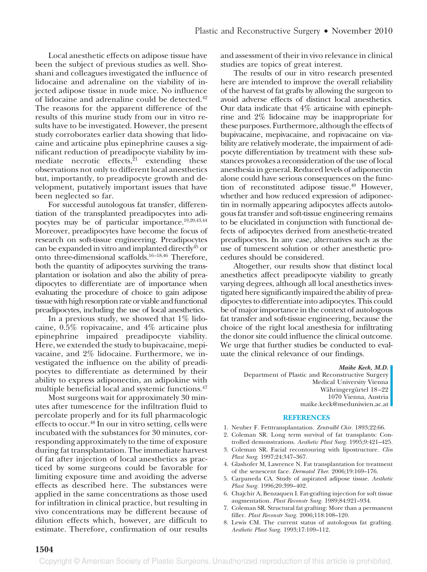Local anesthetic effects on adipose tissue have been the subject of previous studies as well. Shoshani and colleagues investigated the influence of lidocaine and adrenaline on the viability of injected adipose tissue in nude mice. No influence of lidocaine and adrenaline could be detected.42 The reasons for the apparent difference of the results of this murine study from our in vitro results have to be investigated. However, the present study corroborates earlier data showing that lidocaine and articaine plus epinephrine causes a significant reduction of preadipocyte viability by immediate necrotic effects,<sup>21</sup> extending these observations not only to different local anesthetics but, importantly, to preadipocyte growth and development, putatively important issues that have been neglected so far.

For successful autologous fat transfer, differentiation of the transplanted preadipocytes into adipocytes may be of particular importance.<sup>19,20,43,44</sup> Moreover, preadipocytes have become the focus of research on soft-tissue engineering. Preadipocytes can be expanded in vitro and implanted directly $45$  or onto three-dimensional scaffolds.<sup>16-18,46</sup> Therefore, both the quantity of adipocytes surviving the transplantation or isolation and also the ability of preadipocytes to differentiate are of importance when evaluating the procedure of choice to gain adipose tissue with high resorption rate or viable and functional preadipocytes, including the use of local anesthetics.

In a previous study, we showed that 1% lidocaine, 0.5% ropivacaine, and 4% articaine plus epinephrine impaired preadipocyte viability. Here, we extended the study to bupivacaine, mepivacaine, and 2% lidocaine. Furthermore, we investigated the influence on the ability of preadipocytes to differentiate as determined by their ability to express adiponectin, an adipokine with multiple beneficial local and systemic functions.<sup>47</sup>

Most surgeons wait for approximately 30 minutes after tumescence for the infiltration fluid to percolate properly and for its full pharmacologic effects to occur.<sup>48</sup> In our in vitro setting, cells were incubated with the substances for 30 minutes, corresponding approximately to the time of exposure during fat transplantation. The immediate harvest of fat after injection of local anesthetics as practiced by some surgeons could be favorable for limiting exposure time and avoiding the adverse effects as described here. The substances were applied in the same concentrations as those used for infiltration in clinical practice, but resulting in vivo concentrations may be different because of dilution effects which, however, are difficult to estimate. Therefore, confirmation of our results

and assessment of their in vivo relevance in clinical studies are topics of great interest.

The results of our in vitro research presented here are intended to improve the overall reliability of the harvest of fat grafts by allowing the surgeon to avoid adverse effects of distinct local anesthetics. Our data indicate that 4% articaine with epinephrine and 2% lidocaine may be inappropriate for these purposes. Furthermore, although the effects of bupivacaine, mepivacaine, and ropivacaine on viability are relatively moderate, the impairment of adipocyte differentiation by treatment with these substances provokes a reconsideration of the use of local anesthesia in general. Reduced levels of adiponectin alone could have serious consequences on the function of reconstituted adipose tissue.<sup>49</sup> However, whether and how reduced expression of adiponectin in normally appearing adipocytes affects autologous fat transfer and soft-tissue engineering remains to be elucidated in conjunction with functional defects of adipocytes derived from anesthetic-treated preadipocytes. In any case, alternatives such as the use of tumescent solution or other anesthetic procedures should be considered.

Altogether, our results show that distinct local anesthetics affect preadipocyte viability to greatly varying degrees, although all local anesthetics investigated here significantly impaired the ability of preadipocytes to differentiate into adipocytes. This could be of major importance in the context of autologous fat transfer and soft-tissue engineering, because the choice of the right local anesthesia for infiltrating the donor site could influence the clinical outcome. We urge that further studies be conducted to evaluate the clinical relevance of our findings.

#### *Maike Keck, M.D.*

Department of Plastic and Reconstructive Surgery Medical University Vienna Währingergürtel 18-22 1070 Vienna, Austria maike.keck@meduniwien.ac.at

#### **REFERENCES**

- 1. Neuber F. Fetttransplantation. *Zentralbl Chir.* 1893;22:66.
- 2. Coleman SR. Long term survival of fat transplants: Con-
- trolled demonstrations. *Aesthetic Plast Surg.* 1995;9:421–425.
- 3. Coleman SR. Facial recontouring with lipostructure. *Clin Plast Surg.* 1997;24:347–367.
- 4. Glashofer M, Lawrence N. Fat transplantation for treatment of the senescent face. *Dermatol Ther.* 2006;19:169–176.
- 5. Carpaneda CA. Study of aspirated adipose tissue. *Aesthetic Plast Surg.* 1996;20:399–402.
- 6. Chajchir A, Benzaquen I. Fat-grafting injection for soft tissue augmentation. *Plast Reconstr Surg.* 1989;84:921–934.
- 7. Coleman SR. Structural fat grafting: More than a permanent filler. *Plast Reconstr Surg.* 2006;118:108–120.
- 8. Lewis CM. The current status of autologous fat grafting. *Aesthetic Plast Surg.* 1993;17:109–112.